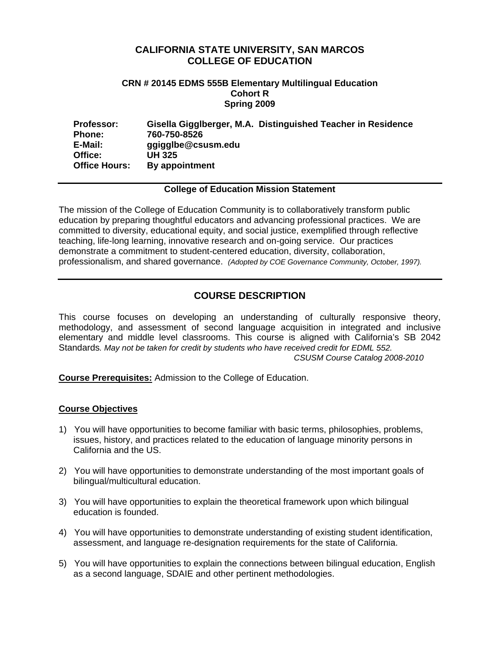## **CALIFORNIA STATE UNIVERSITY, SAN MARCOS COLLEGE OF EDUCATION**

### **CRN # 20145 EDMS 555B Elementary Multilingual Education Cohort R Spring 2009**

| <b>Professor:</b>    | Gisella Gigglberger, M.A. Distinguished Teacher in Residence |
|----------------------|--------------------------------------------------------------|
| <b>Phone:</b>        | 760-750-8526                                                 |
| E-Mail:              | ggigglbe@csusm.edu                                           |
| Office:              | UH 325                                                       |
| <b>Office Hours:</b> | By appointment                                               |

## **College of Education Mission Statement**

 education by preparing thoughtful educators and advancing professional practices. We are The mission of the College of Education Community is to collaboratively transform public committed to diversity, educational equity, and social justice, exemplified through reflective teaching, life-long learning, innovative research and on-going service. Our practices demonstrate a commitment to student-centered education, diversity, collaboration, professionalism, and shared governance. *(Adopted by COE Governance Community, October, 1997).* 

# **COURSE DESCRIPTION**

This course focuses on developing an understanding of culturally responsive theory, methodology, and assessment of second language acquisition in integrated and inclusive elementary and middle level classrooms. This course is aligned with California's SB 2042 Standards*. May not be taken for credit by students who have received credit for EDML 552. CSUSM Course Catalog 2008-2010* 

**Course Prerequisites:** Admission to the College of Education.

## **Course Objectives**

- 1) You will have opportunities to become familiar with basic terms, philosophies, problems, issues, history, and practices related to the education of language minority persons in California and the US.
- 2) You will have opportunities to demonstrate understanding of the most important goals of bilingual/multicultural education.
- 3) You will have opportunities to explain the theoretical framework upon which bilingual education is founded.
- 4) You will have opportunities to demonstrate understanding of existing student identification, assessment, and language re-designation requirements for the state of California.
- 5) You will have opportunities to explain the connections between bilingual education, English as a second language, SDAIE and other pertinent methodologies.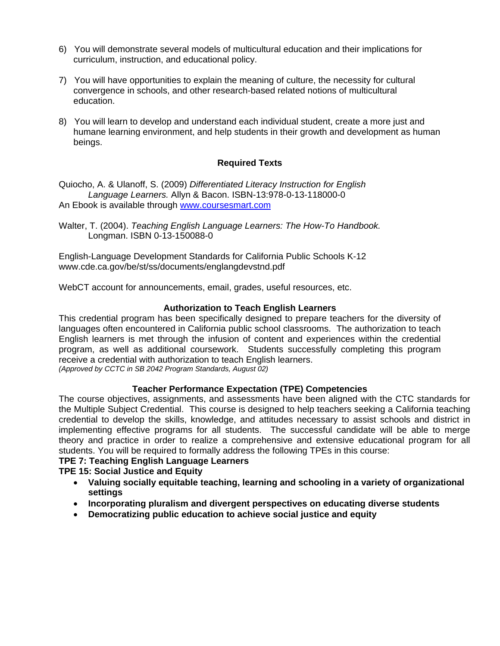- 6) You will demonstrate several models of multicultural education and their implications for curriculum, instruction, and educational policy.
- 7) You will have opportunities to explain the meaning of culture, the necessity for cultural convergence in schools, and other research-based related notions of multicultural education.
- 8) You will learn to develop and understand each individual student, create a more just and humane learning environment, and help students in their growth and development as human beings.

## **Required Texts**

Quiocho, A. & Ulanoff, S. (2009) *Differentiated Literacy Instruction for English Language Learners.* Allyn & Bacon. ISBN-13:978-0-13-118000-0 An Ebook is available through www.coursesmart.com

Walter, T. (2004). *Teaching English Language Learners: The How-To Handbook.*  Longman. ISBN 0-13-150088-0

English-Language Development Standards for California Public Schools K-12 www.cde.ca.gov/be/st/ss/documents/englangdevstnd.pdf

WebCT account for announcements, email, grades, useful resources, etc.

## **Authorization to Teach English Learners**

This credential program has been specifically designed to prepare teachers for the diversity of languages often encountered in California public school classrooms. The authorization to teach English learners is met through the infusion of content and experiences within the credential program, as well as additional coursework. Students successfully completing this program receive a credential with authorization to teach English learners. *(Approved by CCTC in SB 2042 Program Standards, August 02)* 

## **Teacher Performance Expectation (TPE) Competencies**

The course objectives, assignments, and assessments have been aligned with the CTC standards for the Multiple Subject Credential. This course is designed to help teachers seeking a California teaching credential to develop the skills, knowledge, and attitudes necessary to assist schools and district in implementing effective programs for all students. The successful candidate will be able to merge theory and practice in order to realize a comprehensive and extensive educational program for all students. You will be required to formally address the following TPEs in this course:

## **TPE 7: Teaching English Language Learners**

## **TPE 15: Social Justice and Equity**

- • **Valuing socially equitable teaching, learning and schooling in a variety of organizational settings**
- • **Incorporating pluralism and divergent perspectives on educating diverse students**
- • **Democratizing public education to achieve social justice and equity**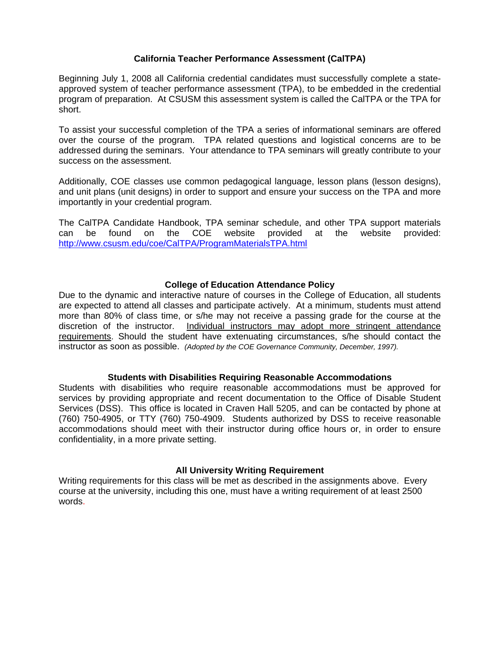### **California Teacher Performance Assessment (CalTPA)**

Beginning July 1, 2008 all California credential candidates must successfully complete a stateapproved system of teacher performance assessment (TPA), to be embedded in the credential program of preparation. At CSUSM this assessment system is called the CalTPA or the TPA for short.

To assist your successful completion of the TPA a series of informational seminars are offered over the course of the program. TPA related questions and logistical concerns are to be addressed during the seminars. Your attendance to TPA seminars will greatly contribute to your success on the assessment.

Additionally, COE classes use common pedagogical language, lesson plans (lesson designs), and unit plans (unit designs) in order to support and ensure your success on the TPA and more importantly in your credential program.

The CalTPA Candidate Handbook, TPA seminar schedule, and other TPA support materials can be found on the COE website provided at the website provided: http://www.csusm.edu/coe/CalTPA/ProgramMaterialsTPA.html

## **College of Education Attendance Policy**

discretion of the instructor. Individual instructors may adopt more stringent attendance instructor as soon as possible. *(Adopted by the COE Governance Community, December, 1997).* Due to the dynamic and interactive nature of courses in the College of Education, all students are expected to attend all classes and participate actively. At a minimum, students must attend more than 80% of class time, or s/he may not receive a passing grade for the course at the requirements. Should the student have extenuating circumstances, s/he should contact the

### **Students with Disabilities Requiring Reasonable Accommodations**

Students with disabilities who require reasonable accommodations must be approved for services by providing appropriate and recent documentation to the Office of Disable Student Services (DSS). This office is located in Craven Hall 5205, and can be contacted by phone at (760) 750-4905, or TTY (760) 750-4909. Students authorized by DSS to receive reasonable accommodations should meet with their instructor during office hours or, in order to ensure confidentiality, in a more private setting.

### **All University Writing Requirement**

Writing requirements for this class will be met as described in the assignments above. Every course at the university, including this one, must have a writing requirement of at least 2500 words.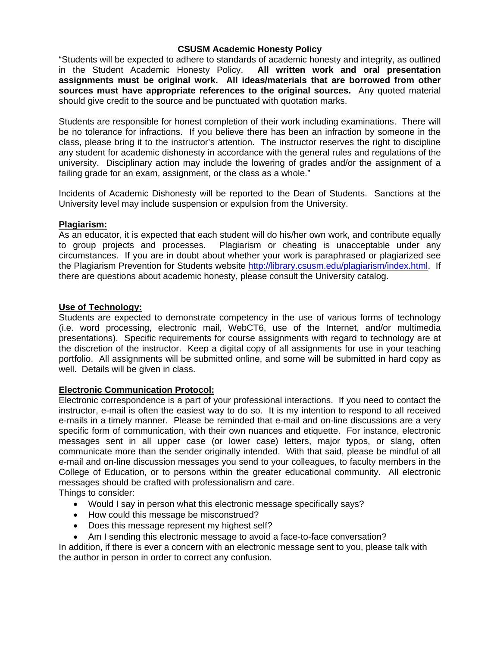## **CSUSM Academic Honesty Policy**

"Students will be expected to adhere to standards of academic honesty and integrity, as outlined in the Student Academic Honesty Policy. **All written work and oral presentation assignments must be original work. All ideas/materials that are borrowed from other sources must have appropriate references to the original sources.** Any quoted material should give credit to the source and be punctuated with quotation marks.

Students are responsible for honest completion of their work including examinations. There will be no tolerance for infractions. If you believe there has been an infraction by someone in the class, please bring it to the instructor's attention. The instructor reserves the right to discipline any student for academic dishonesty in accordance with the general rules and regulations of the university. Disciplinary action may include the lowering of grades and/or the assignment of a failing grade for an exam, assignment, or the class as a whole."

Incidents of Academic Dishonesty will be reported to the Dean of Students. Sanctions at the University level may include suspension or expulsion from the University.

## **Plagiarism:**

the Plagiarism Prevention for Students website http://library.csusm.edu/plagiarism/index.html. If As an educator, it is expected that each student will do his/her own work, and contribute equally to group projects and processes. Plagiarism or cheating is unacceptable under any circumstances. If you are in doubt about whether your work is paraphrased or plagiarized see there are questions about academic honesty, please consult the University catalog.

## **Use of Technology:**

Students are expected to demonstrate competency in the use of various forms of technology (i.e. word processing, electronic mail, WebCT6, use of the Internet, and/or multimedia presentations). Specific requirements for course assignments with regard to technology are at the discretion of the instructor. Keep a digital copy of all assignments for use in your teaching portfolio. All assignments will be submitted online, and some will be submitted in hard copy as well. Details will be given in class.

## **Electronic Communication Protocol:**

Electronic correspondence is a part of your professional interactions. If you need to contact the instructor, e-mail is often the easiest way to do so. It is my intention to respond to all received e-mails in a timely manner. Please be reminded that e-mail and on-line discussions are a very specific form of communication, with their own nuances and etiquette. For instance, electronic messages sent in all upper case (or lower case) letters, major typos, or slang, often communicate more than the sender originally intended. With that said, please be mindful of all e-mail and on-line discussion messages you send to your colleagues, to faculty members in the College of Education, or to persons within the greater educational community. All electronic messages should be crafted with professionalism and care.

Things to consider:

- Would I say in person what this electronic message specifically says?
- How could this message be misconstrued?
- Does this message represent my highest self?
- Am I sending this electronic message to avoid a face-to-face conversation?

In addition, if there is ever a concern with an electronic message sent to you, please talk with the author in person in order to correct any confusion.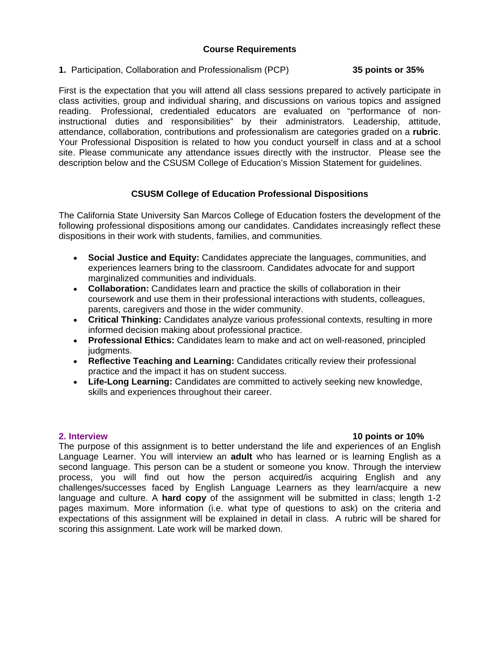## **Course Requirements**

# **1.** Participation, Collaboration and Professionalism (PCP) **35 points or 35%**

First is the expectation that you will attend all class sessions prepared to actively participate in class activities, group and individual sharing, and discussions on various topics and assigned reading. Professional, credentialed educators are evaluated on "performance of noninstructional duties and responsibilities" by their administrators. Leadership, attitude, attendance, collaboration, contributions and professionalism are categories graded on a **rubric**. Your Professional Disposition is related to how you conduct yourself in class and at a school site. Please communicate any attendance issues directly with the instructor. Please see the description below and the CSUSM College of Education's Mission Statement for guidelines.

## **CSUSM College of Education Professional Dispositions**

The California State University San Marcos College of Education fosters the development of the following professional dispositions among our candidates. Candidates increasingly reflect these dispositions in their work with students, families, and communities.

- • **Social Justice and Equity:** Candidates appreciate the languages, communities, and experiences learners bring to the classroom. Candidates advocate for and support marginalized communities and individuals.
- • **Collaboration:** Candidates learn and practice the skills of collaboration in their coursework and use them in their professional interactions with students, colleagues, parents, caregivers and those in the wider community.
- • **Critical Thinking:** Candidates analyze various professional contexts, resulting in more informed decision making about professional practice.
- • **Professional Ethics:** Candidates learn to make and act on well-reasoned, principled judgments.
- • **Reflective Teaching and Learning:** Candidates critically review their professional practice and the impact it has on student success.
- • **Life-Long Learning:** Candidates are committed to actively seeking new knowledge, skills and experiences throughout their career.

### 2. Interview

## **2. 10 points or 10%**

The purpose of this assignment is to better understand the life and experiences of an English Language Learner. You will interview an **adult** who has learned or is learning English as a second language. This person can be a student or someone you know. Through the interview process, you will find out how the person acquired/is acquiring English and any challenges/successes faced by English Language Learners as they learn/acquire a new language and culture. A **hard copy** of the assignment will be submitted in class; length 1-2 pages maximum. More information (i.e. what type of questions to ask) on the criteria and expectations of this assignment will be explained in detail in class. A rubric will be shared for scoring this assignment. Late work will be marked down.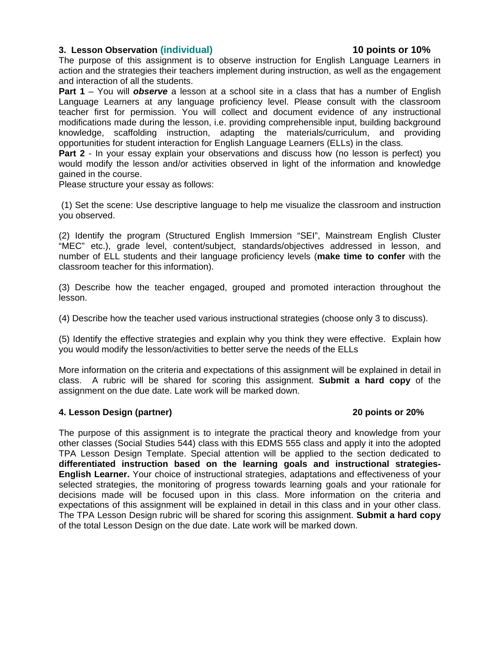## **3. Lesson Observation (individual) 10 points or 10%**

The purpose of this assignment is to observe instruction for English Language Learners in action and the strategies their teachers implement during instruction, as well as the engagement and interaction of all the students.

**Part 1** – You will *observe* a lesson at a school site in a class that has a number of English Language Learners at any language proficiency level. Please consult with the classroom teacher first for permission. You will collect and document evidence of any instructional modifications made during the lesson, i.e. providing comprehensible input, building background knowledge, scaffolding instruction, adapting the materials/curriculum, and providing opportunities for student interaction for English Language Learners (ELLs) in the class.

**Part 2** - In your essay explain your observations and discuss how (no lesson is perfect) you would modify the lesson and/or activities observed in light of the information and knowledge gained in the course.

Please structure your essay as follows:

(1) Set the scene: Use descriptive language to help me visualize the classroom and instruction you observed.

(2) Identify the program (Structured English Immersion "SEI", Mainstream English Cluster "MEC" etc.), grade level, content/subject, standards/objectives addressed in lesson, and number of ELL students and their language proficiency levels (**make time to confer** with the classroom teacher for this information).

(3) Describe how the teacher engaged, grouped and promoted interaction throughout the lesson.

(4) Describe how the teacher used various instructional strategies (choose only 3 to discuss).

(5) Identify the effective strategies and explain why you think they were effective. Explain how you would modify the lesson/activities to better serve the needs of the ELLs

More information on the criteria and expectations of this assignment will be explained in detail in class. A rubric will be shared for scoring this assignment. **Submit a hard copy** of the assignment on the due date. Late work will be marked down.

## **4. Lesson Design (partner) 20 points or 20%**

expectations of this assignment will be explained in detail in this class and in your other class. The purpose of this assignment is to integrate the practical theory and knowledge from your other classes (Social Studies 544) class with this EDMS 555 class and apply it into the adopted TPA Lesson Design Template. Special attention will be applied to the section dedicated to **differentiated instruction based on the learning goals and instructional strategies-English Learner.** Your choice of instructional strategies, adaptations and effectiveness of your selected strategies, the monitoring of progress towards learning goals and your rationale for decisions made will be focused upon in this class. More information on the criteria and The TPA Lesson Design rubric will be shared for scoring this assignment. **Submit a hard copy** of the total Lesson Design on the due date. Late work will be marked down.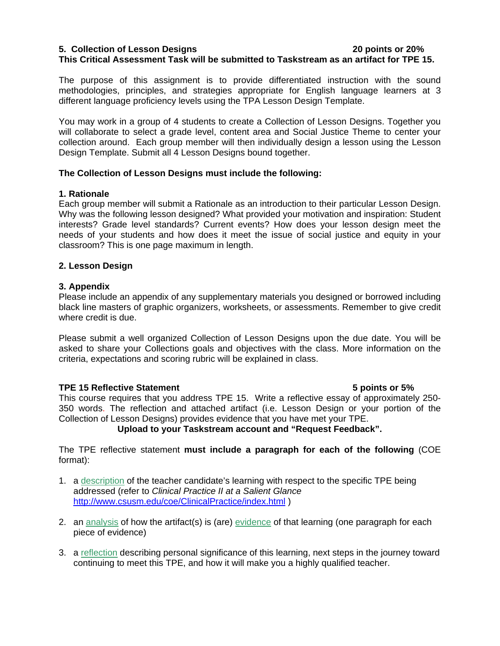## **5. Collection of Lesson Designs 20 points or 20% This Critical Assessment Task will be submitted to Taskstream as an artifact for TPE 15.**

The purpose of this assignment is to provide differentiated instruction with the sound methodologies, principles, and strategies appropriate for English language learners at 3 different language proficiency levels using the TPA Lesson Design Template.

You may work in a group of 4 students to create a Collection of Lesson Designs. Together you will collaborate to select a grade level, content area and Social Justice Theme to center your collection around. Each group member will then individually design a lesson using the Lesson Design Template. Submit all 4 Lesson Designs bound together.

## **The Collection of Lesson Designs must include the following:**

## **1. Rationale**

Each group member will submit a Rationale as an introduction to their particular Lesson Design. Why was the following lesson designed? What provided your motivation and inspiration: Student interests? Grade level standards? Current events? How does your lesson design meet the needs of your students and how does it meet the issue of social justice and equity in your classroom? This is one page maximum in length.

## **2. Lesson Design**

## **3. Appendix**

Please include an appendix of any supplementary materials you designed or borrowed including black line masters of graphic organizers, worksheets, or assessments. Remember to give credit where credit is due.

Please submit a well organized Collection of Lesson Designs upon the due date. You will be asked to share your Collections goals and objectives with the class. More information on the criteria, expectations and scoring rubric will be explained in class.

### **TPE 15 Reflective Statement 5 points or 5%**

This course requires that you address TPE 15. Write a reflective essay of approximately 250- 350 words. The reflection and attached artifact (i.e. Lesson Design or your portion of the Collection of Lesson Designs) provides evidence that you have met your TPE.

## **Upload to your Taskstream account and "Request Feedback".**

The TPE reflective statement **must include a paragraph for each of the following** (COE format):

- 1. a description of the teacher candidate's learning with respect to the specific TPE being addressed (refer to *Clinical Practice II at a Salient Glance*  http://www.csusm.edu/coe/ClinicalPractice/index.html )
- 2. an analysis of how the artifact(s) is (are) evidence of that learning (one paragraph for each piece of evide nce)
- 3. a reflection describing personal significance of this learning, next steps in the journey toward continuing to meet this TPE, and how it will make you a highly qualified teacher.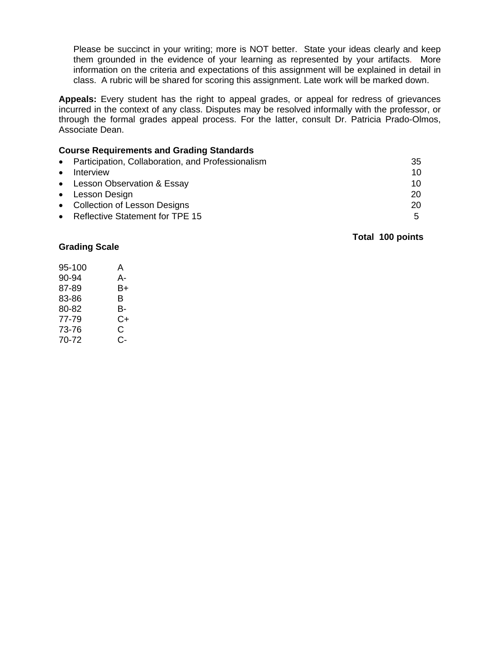Please be succinct in your writing; more is NOT better. State your ideas clearly and keep them grounded in the evidence of your learning as represented by your artifacts. More information on the criteria and expectations of this assignment will be explained in detail in class. A rubric will be shared for scoring this assignment. Late work will be marked down.

**Appeals:** Every student has the right to appeal grades, or appeal for redress of grievances incurred in the context of any class. Disputes may be resolved informally with the professor, or through the formal grades appeal process. For the latter, consult Dr. Patricia Prado-Olmos, Associate Dean.

## **Course Requirements and Grading Standards**

|           | • Participation, Collaboration, and Professionalism | 35 |
|-----------|-----------------------------------------------------|----|
| $\bullet$ | Interview                                           | 10 |
|           | • Lesson Observation & Essay                        | 10 |
|           | • Lesson Design                                     | 20 |
|           | • Collection of Lesson Designs                      | 20 |
|           | • Reflective Statement for TPE 15                   | 5  |

### **Total 100 points**

### **Grading Scale**

| 95-100 | A  |
|--------|----|
| 90-94  | А- |
| 87-89  | B+ |
| 83-86  | в  |
| 80-82  | в- |
| 77-79  | C+ |
| 73-76  | C  |
| 70-72  | C- |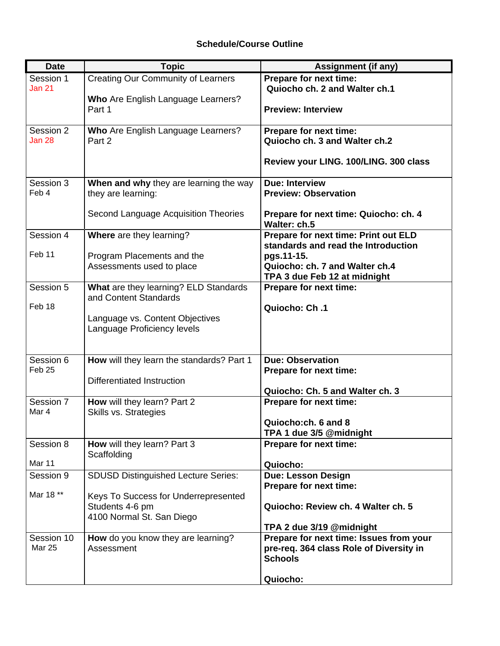# **Schedule/Course Outline**

| <b>Date</b>        | <b>Topic</b>                                         | <b>Assignment (if any)</b>                                          |
|--------------------|------------------------------------------------------|---------------------------------------------------------------------|
| Session 1          | <b>Creating Our Community of Learners</b>            | Prepare for next time:                                              |
| <b>Jan 21</b>      |                                                      | Quiocho ch. 2 and Walter ch.1                                       |
|                    | Who Are English Language Learners?<br>Part 1         | <b>Preview: Interview</b>                                           |
|                    |                                                      |                                                                     |
| Session 2          | Who Are English Language Learners?                   | Prepare for next time:                                              |
| Jan 28             | Part 2                                               | Quiocho ch. 3 and Walter ch.2                                       |
|                    |                                                      |                                                                     |
|                    |                                                      | Review your LING. 100/LING. 300 class                               |
| Session 3          | When and why they are learning the way               | <b>Due: Interview</b>                                               |
| Feb 4              | they are learning:                                   | <b>Preview: Observation</b>                                         |
|                    |                                                      |                                                                     |
|                    | Second Language Acquisition Theories                 | Prepare for next time: Quiocho: ch. 4<br>Walter: ch.5               |
| Session 4          | Where are they learning?                             | Prepare for next time: Print out ELD                                |
|                    |                                                      | standards and read the Introduction                                 |
| Feb 11             | Program Placements and the                           | pgs.11-15.                                                          |
|                    | Assessments used to place                            | Quiocho: ch. 7 and Walter ch.4                                      |
| Session 5          | What are they learning? ELD Standards                | TPA 3 due Feb 12 at midnight<br>Prepare for next time:              |
|                    | and Content Standards                                |                                                                     |
| Feb 18             |                                                      | Quiocho: Ch.1                                                       |
|                    | Language vs. Content Objectives                      |                                                                     |
|                    | Language Proficiency levels                          |                                                                     |
|                    |                                                      |                                                                     |
| Session 6          | How will they learn the standards? Part 1            | <b>Due: Observation</b>                                             |
| Feb <sub>25</sub>  |                                                      | Prepare for next time:                                              |
|                    | <b>Differentiated Instruction</b>                    |                                                                     |
|                    |                                                      | Quiocho: Ch. 5 and Walter ch. 3                                     |
| Session 7<br>Mar 4 | How will they learn? Part 2<br>Skills vs. Strategies | Prepare for next time:                                              |
|                    |                                                      | Quiocho:ch. 6 and 8                                                 |
|                    |                                                      | TPA 1 due 3/5 @midnight                                             |
| Session 8          | How will they learn? Part 3                          | Prepare for next time:                                              |
| Mar 11             | Scaffolding                                          |                                                                     |
| Session 9          | <b>SDUSD Distinguished Lecture Series:</b>           | Quiocho:<br><b>Due: Lesson Design</b>                               |
|                    |                                                      | Prepare for next time:                                              |
| Mar 18 **          | Keys To Success for Underrepresented                 |                                                                     |
|                    | Students 4-6 pm                                      | Quiocho: Review ch. 4 Walter ch. 5                                  |
|                    | 4100 Normal St. San Diego                            |                                                                     |
| Session 10         | How do you know they are learning?                   | TPA 2 due 3/19 @midnight<br>Prepare for next time: Issues from your |
| Mar 25             | Assessment                                           | pre-req. 364 class Role of Diversity in                             |
|                    |                                                      | <b>Schools</b>                                                      |
|                    |                                                      |                                                                     |
|                    |                                                      | Quiocho:                                                            |